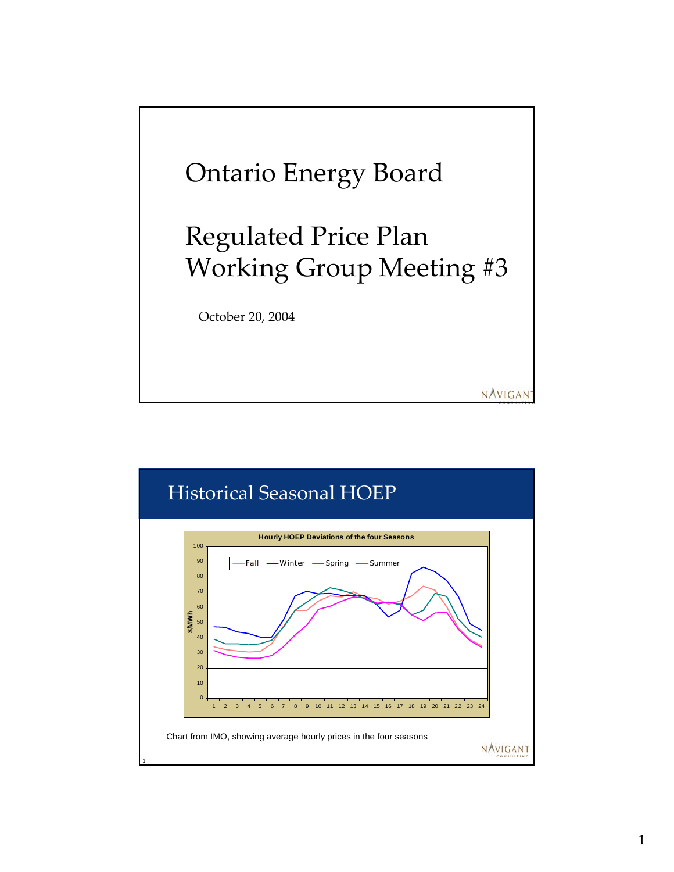

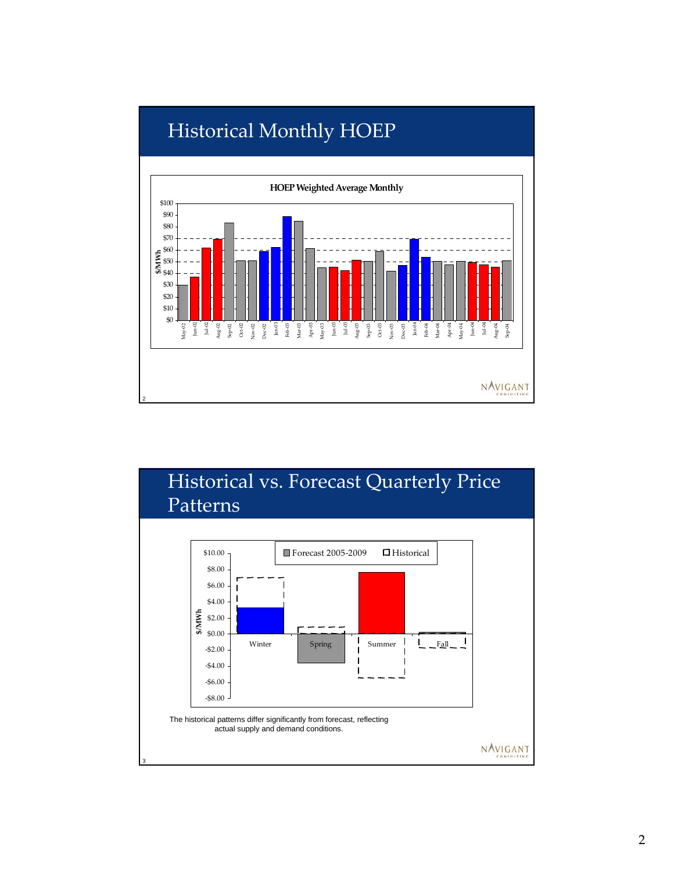

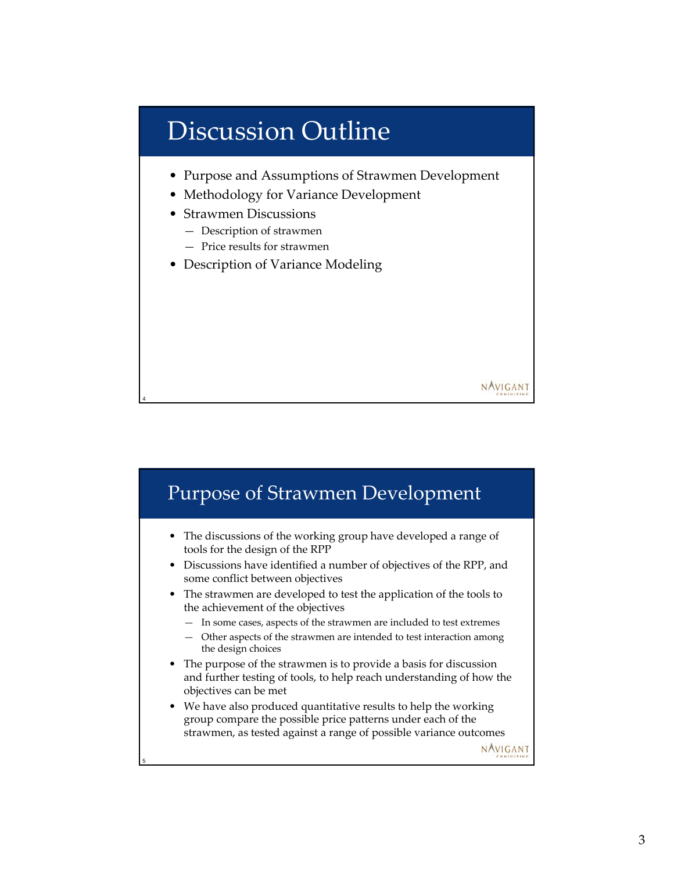# Discussion Outline

• Purpose and Assumptions of Strawmen Development

NAVIGANT

- Methodology for Variance Development
- Strawmen Discussions

- Description of strawmen
- Price results for strawmen
- Description of Variance Modeling

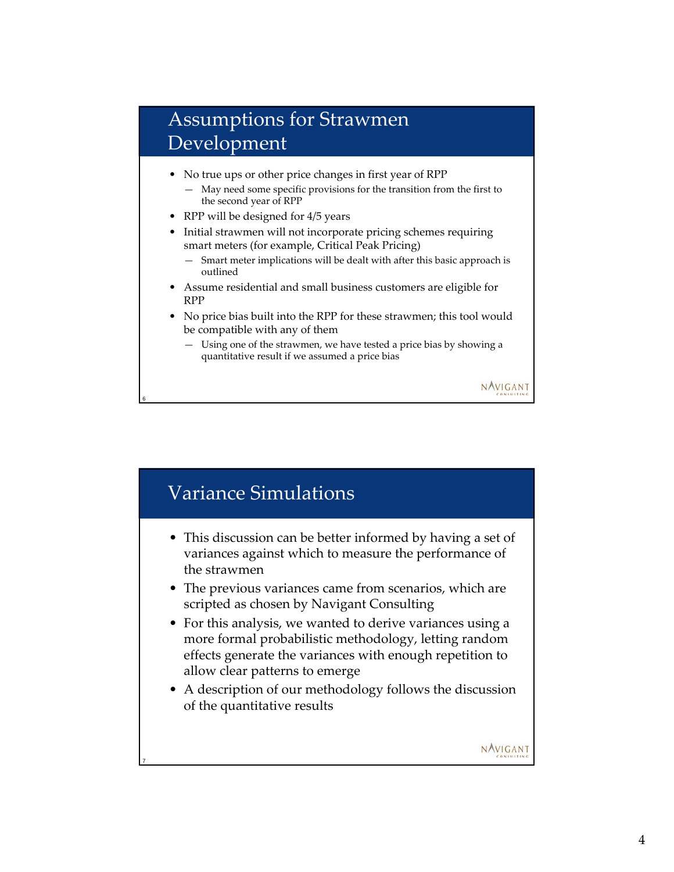#### Assumptions for Strawmen Development

- No true ups or other price changes in first year of RPP
	- May need some specific provisions for the transition from the first to the second year of RPP
- RPP will be designed for 4/5 years

6

- Initial strawmen will not incorporate pricing schemes requiring smart meters (for example, Critical Peak Pricing)
	- Smart meter implications will be dealt with after this basic approach is outlined
- Assume residential and small business customers are eligible for RPP
- No price bias built into the RPP for these strawmen; this tool would be compatible with any of them
	- Using one of the strawmen, we have tested a price bias by showing a quantitative result if we assumed a price bias

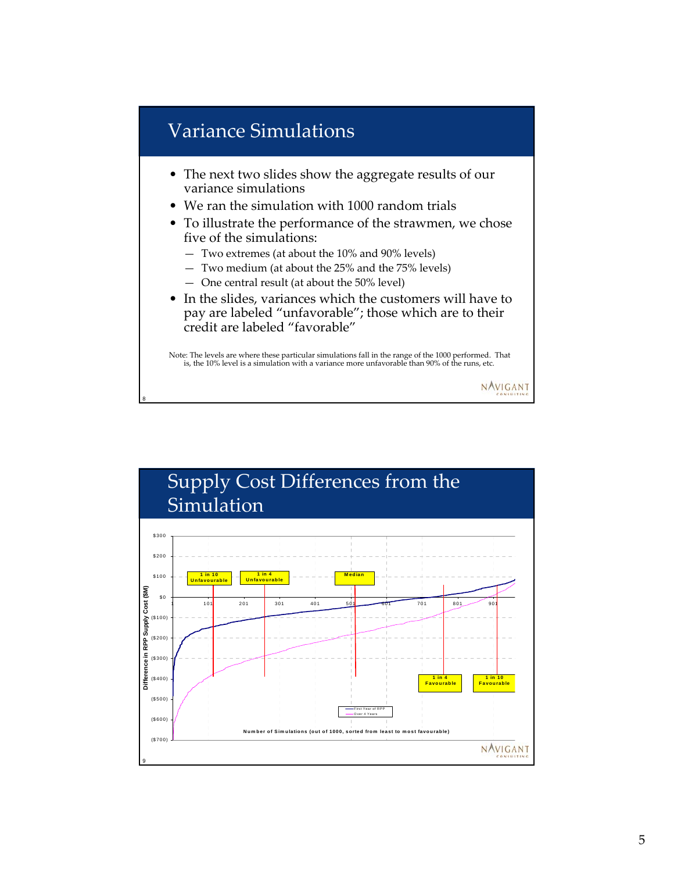## Variance Simulations

8

- The next two slides show the aggregate results of our variance simulations
- We ran the simulation with 1000 random trials
- To illustrate the performance of the strawmen, we chose five of the simulations:
	- Two extremes (at about the 10% and 90% levels)
	- Two medium (at about the 25% and the 75% levels)
	- One central result (at about the 50% level)
- In the slides, variances which the customers will have to pay are labeled "unfavorable"; those which are to their credit are labeled "favorable"

Note: The levels are where these particular simulations fall in the range of the 1000 performed. That is, the 10% level is a simulation with a variance more unfavorable than 90% of the runs, etc.

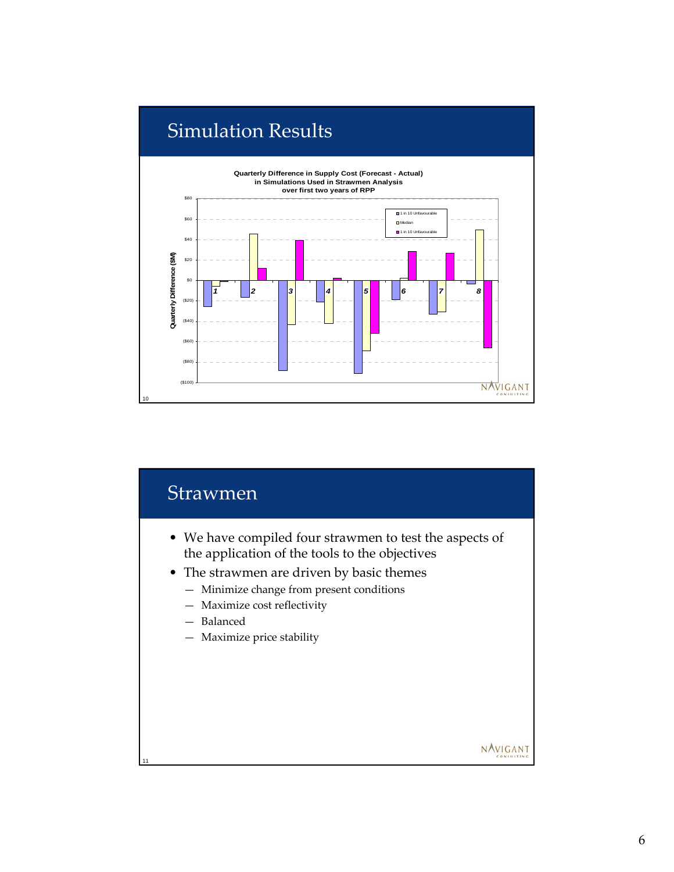

### **Strawmen**

- We have compiled four strawmen to test the aspects of the application of the tools to the objectives
- The strawmen are driven by basic themes
	- Minimize change from present conditions
	- Maximize cost reflectivity
	- Balanced

11

— Maximize price stability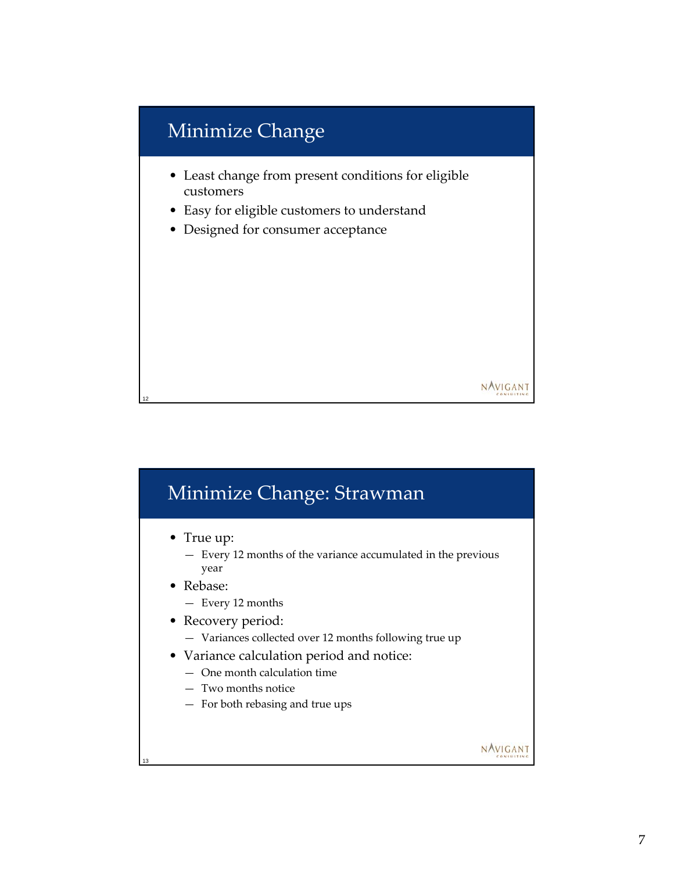## Minimize Change

- Least change from present conditions for eligible customers
- Easy for eligible customers to understand
- Designed for consumer acceptance

# Minimize Change: Strawman

• True up:

12

13

- Every 12 months of the variance accumulated in the previous year
- Rebase:
	- Every 12 months
- Recovery period:
	- Variances collected over 12 months following true up
- Variance calculation period and notice:
	- One month calculation time
	- Two months notice
	- For both rebasing and true ups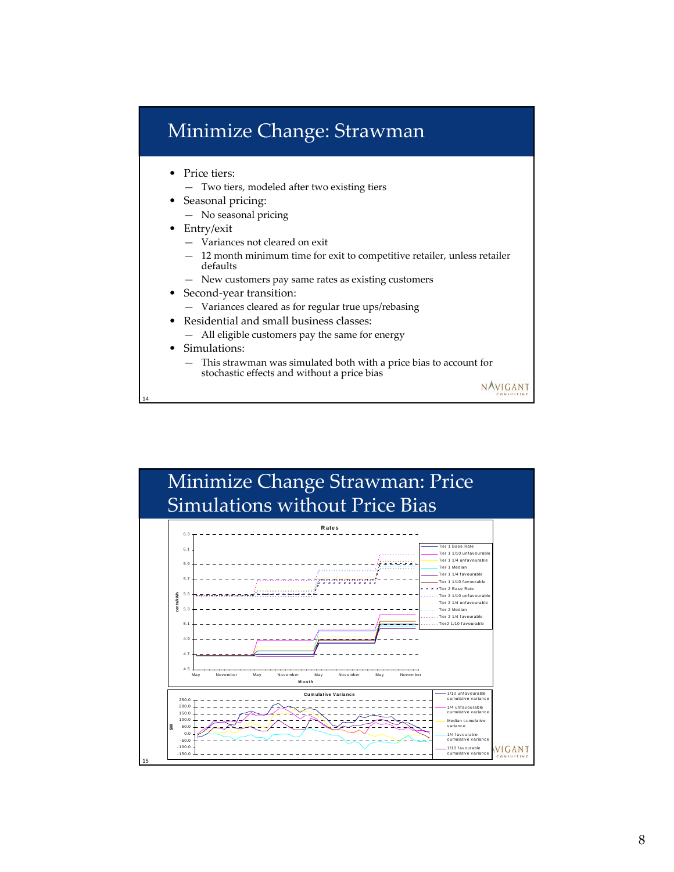## Minimize Change: Strawman

- Price tiers:
	- Two tiers, modeled after two existing tiers
- Seasonal pricing:
	- No seasonal pricing
- Entry/exit
	- Variances not cleared on exit
	- 12 month minimum time for exit to competitive retailer, unless retailer defaults
	- New customers pay same rates as existing customers
- Second-year transition:
	- Variances cleared as for regular true ups/rebasing
- Residential and small business classes:
	- All eligible customers pay the same for energy
- Simulations:

14

— This strawman was simulated both with a price bias to account for stochastic effects and without a price bias

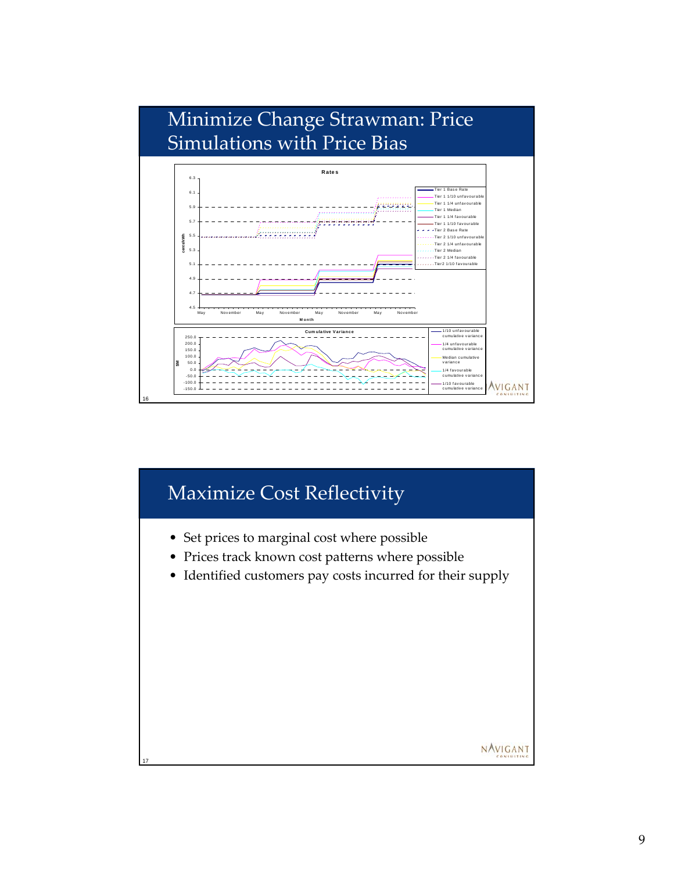

#### Maximize Cost Reflectivity

- Set prices to marginal cost where possible
- Prices track known cost patterns where possible
- Identified customers pay costs incurred for their supply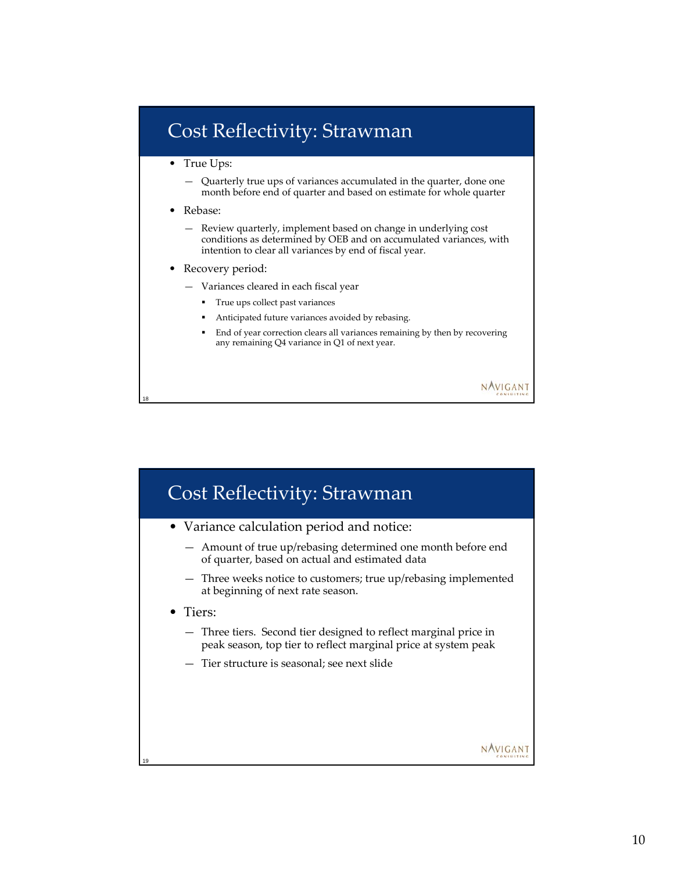#### Cost Reflectivity: Strawman

- True Ups:
	- Quarterly true ups of variances accumulated in the quarter, done one month before end of quarter and based on estimate for whole quarter
- Rebase:

18

- Review quarterly, implement based on change in underlying cost conditions as determined by OEB and on accumulated variances, with intention to clear all variances by end of fiscal year.
- Recovery period:
	- Variances cleared in each fiscal year
		- True ups collect past variances
		- Anticipated future variances avoided by rebasing.
		- End of year correction clears all variances remaining by then by recovering any remaining Q4 variance in Q1 of next year.

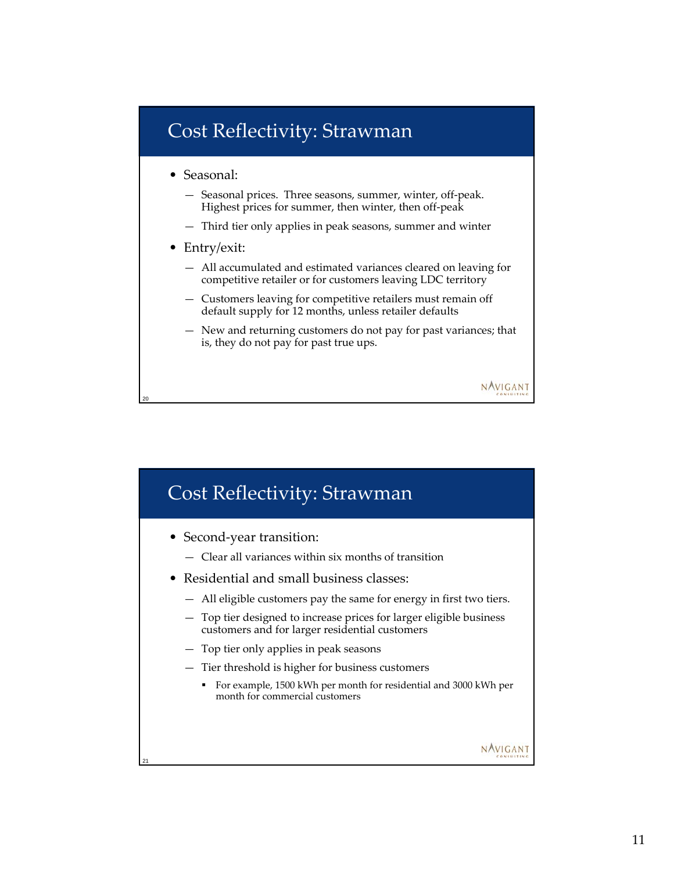#### Cost Reflectivity: Strawman

- Seasonal:
	- Seasonal prices. Three seasons, summer, winter, off-peak. Highest prices for summer, then winter, then off-peak
	- Third tier only applies in peak seasons, summer and winter
- Entry/exit:

20

- All accumulated and estimated variances cleared on leaving for competitive retailer or for customers leaving LDC territory
- Customers leaving for competitive retailers must remain off default supply for 12 months, unless retailer defaults
- New and returning customers do not pay for past variances; that is, they do not pay for past true ups.

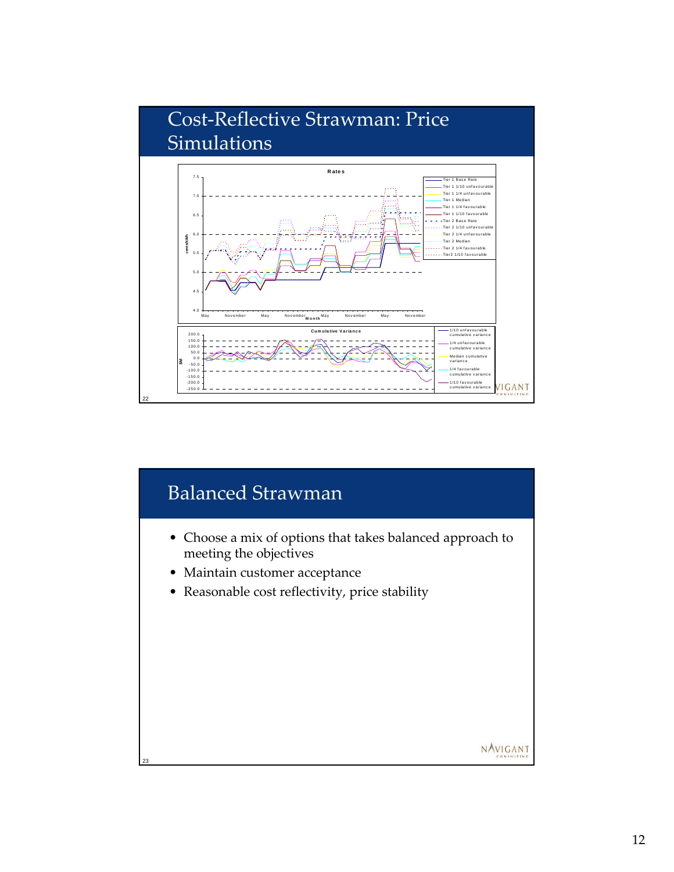

## Balanced Strawman

- Choose a mix of options that takes balanced approach to meeting the objectives
- Maintain customer acceptance

23

• Reasonable cost reflectivity, price stability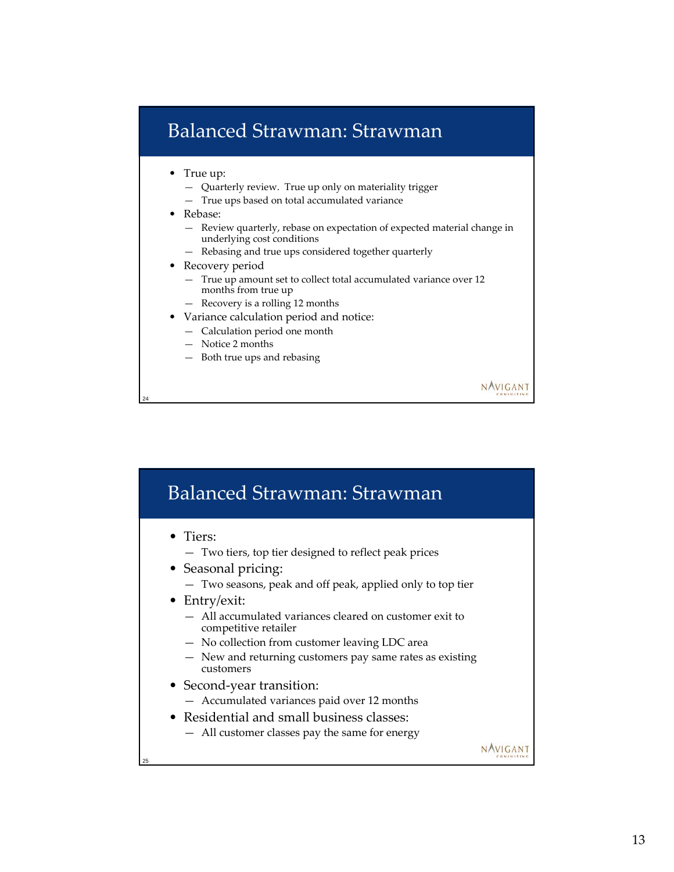## Balanced Strawman: Strawman

- True up:
	- Quarterly review. True up only on materiality trigger
	- True ups based on total accumulated variance
- Rebase:

24

— Review quarterly, rebase on expectation of expected material change in underlying cost conditions

- Rebasing and true ups considered together quarterly
- Recovery period
	- True up amount set to collect total accumulated variance over 12 months from true up
	- Recovery is a rolling 12 months
- Variance calculation period and notice:
	- Calculation period one month
	- Notice 2 months
	- Both true ups and rebasing

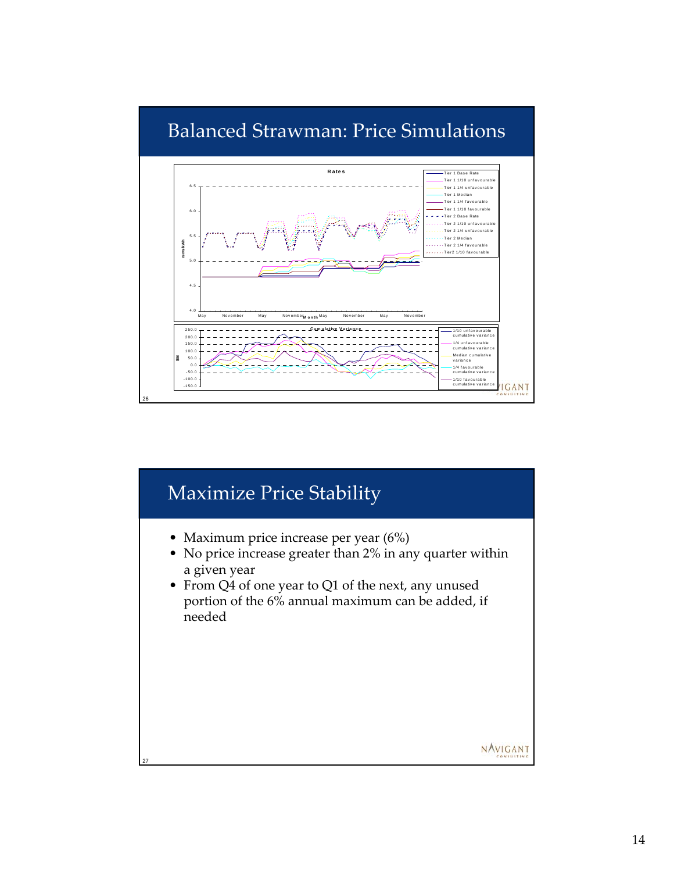

## Maximize Price Stability

- Maximum price increase per year (6%)
- No price increase greater than 2% in any quarter within a given year
- From Q4 of one year to Q1 of the next, any unused portion of the 6% annual maximum can be added, if needed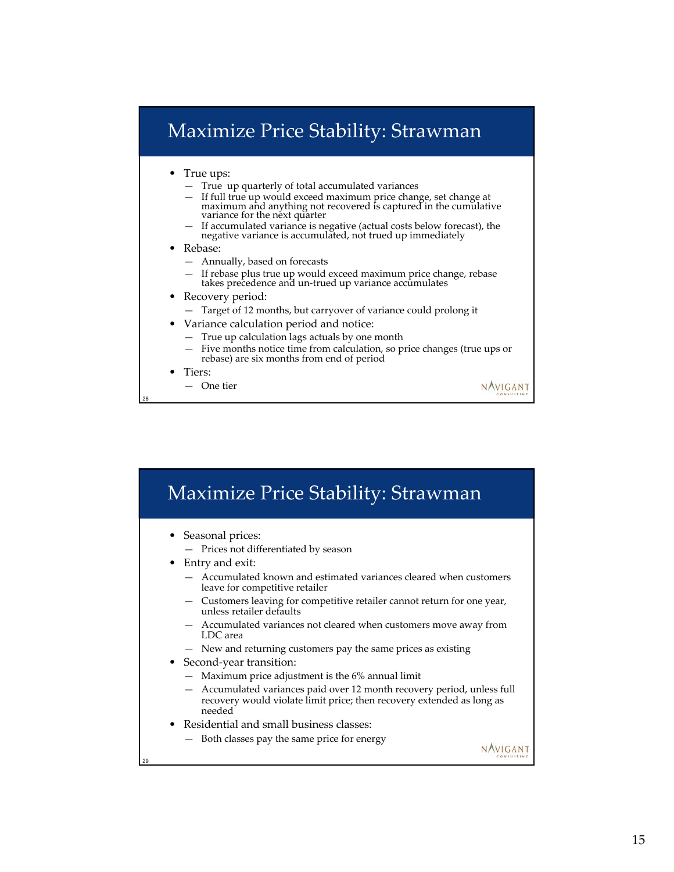## Maximize Price Stability: Strawman

- True ups:
	- True up quarterly of total accumulated variances
	- If full true up would exceed maximum price change, set change at maximum and anything not recovered is captured in the cumulative variance for the next quarter
	- If accumulated variance is negative (actual costs below forecast), the negative variance is accumulated, not trued up immediately
- Rebase:
	- Annually, based on forecasts
	- If rebase plus true up would exceed maximum price change, rebase takes precedence and un-trued up variance accumulates
- Recovery period:
	- Target of 12 months, but carryover of variance could prolong it
- Variance calculation period and notice:
	- True up calculation lags actuals by one month
	- Five months notice time from calculation, so price changes (true ups or rebase) are six months from end of period

NAVIGANT

• Tiers:

28

— One tier

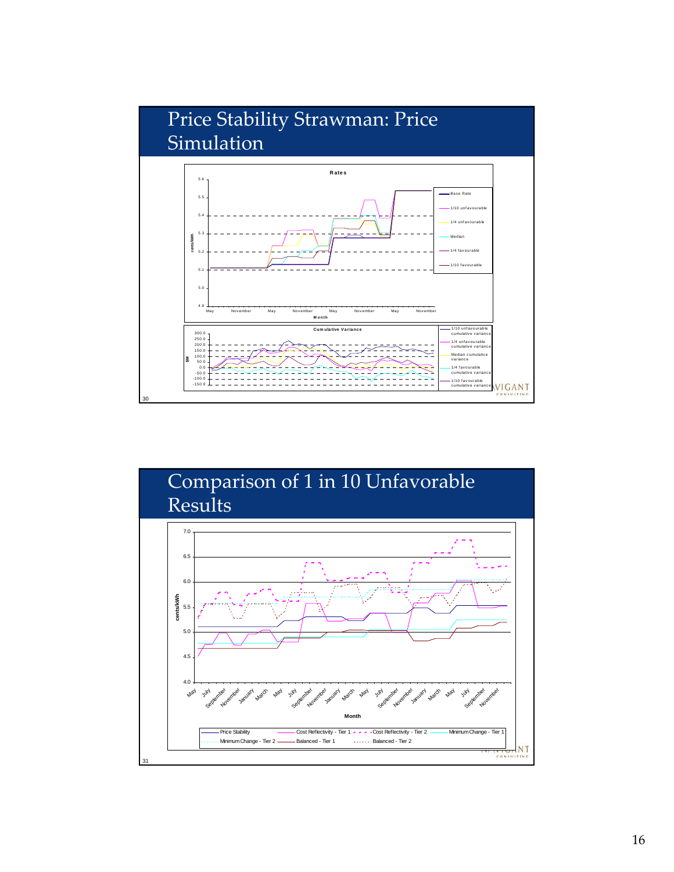

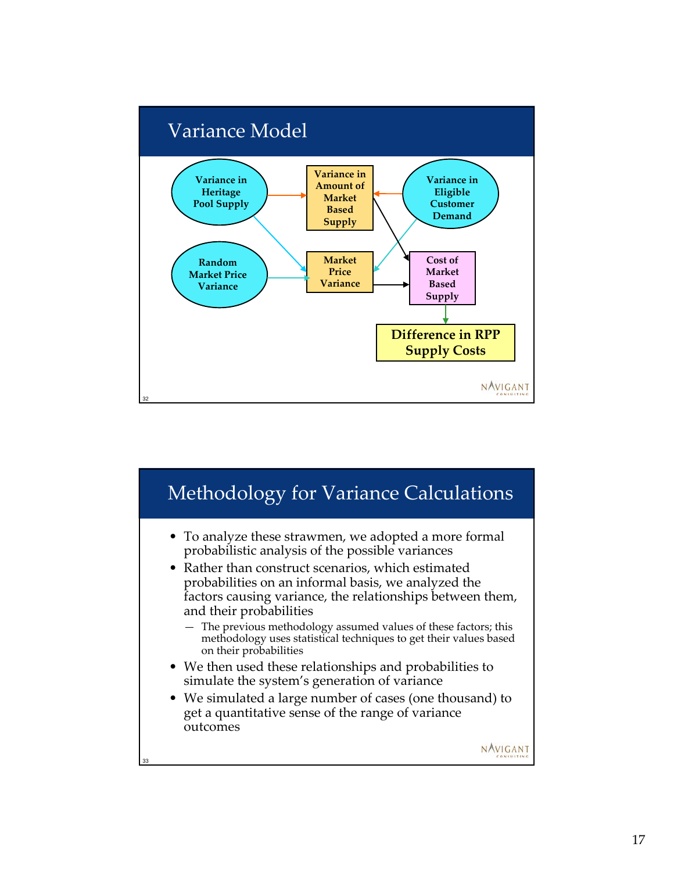

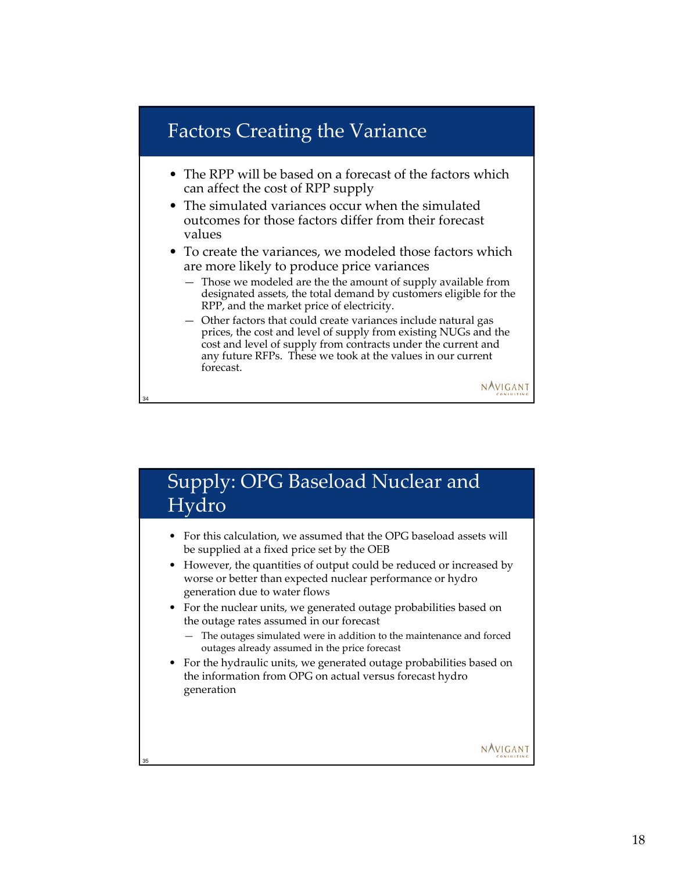#### Factors Creating the Variance

- The RPP will be based on a forecast of the factors which can affect the cost of RPP supply
- The simulated variances occur when the simulated outcomes for those factors differ from their forecast values
- To create the variances, we modeled those factors which are more likely to produce price variances
	- Those we modeled are the the amount of supply available from designated assets, the total demand by customers eligible for the RPP, and the market price of electricity.
	- Other factors that could create variances include natural gas prices, the cost and level of supply from existing NUGs and the cost and level of supply from contracts under the current and any future RFPs. These we took at the values in our current forecast.



NAVIGANT

NAVIGANT

#### Supply: OPG Baseload Nuclear and Hydro

34

- For this calculation, we assumed that the OPG baseload assets will be supplied at a fixed price set by the OEB
- However, the quantities of output could be reduced or increased by worse or better than expected nuclear performance or hydro generation due to water flows
- For the nuclear units, we generated outage probabilities based on the outage rates assumed in our forecast
	- The outages simulated were in addition to the maintenance and forced outages already assumed in the price forecast
- For the hydraulic units, we generated outage probabilities based on the information from OPG on actual versus forecast hydro generation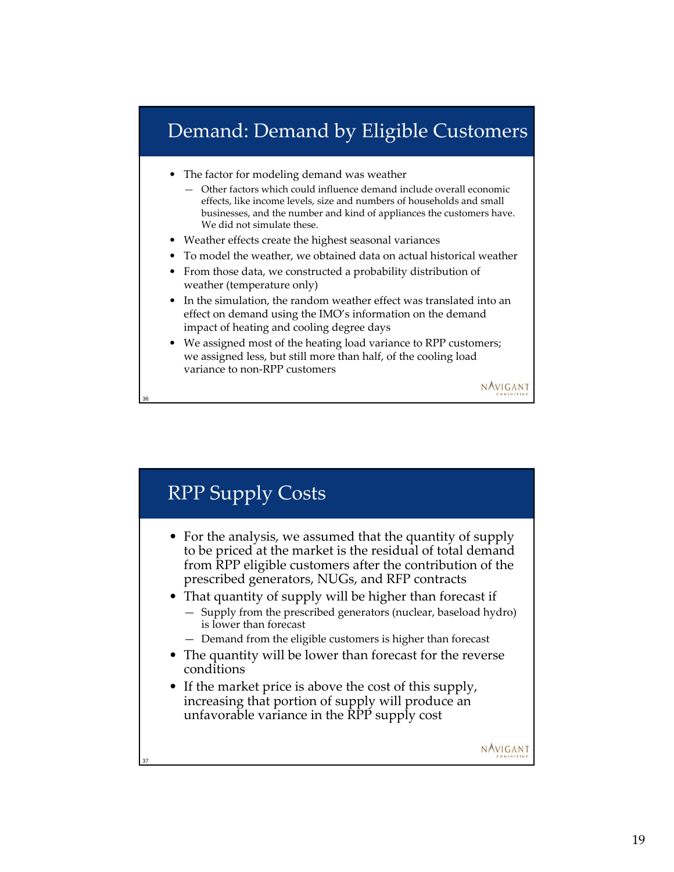## Demand: Demand by Eligible Customers

The factor for modeling demand was weather

- Other factors which could influence demand include overall economic effects, like income levels, size and numbers of households and small businesses, and the number and kind of appliances the customers have. We did not simulate these.
- Weather effects create the highest seasonal variances
- To model the weather, we obtained data on actual historical weather
- From those data, we constructed a probability distribution of weather (temperature only)
- In the simulation, the random weather effect was translated into an effect on demand using the IMO's information on the demand impact of heating and cooling degree days
- We assigned most of the heating load variance to RPP customers; we assigned less, but still more than half, of the cooling load variance to non-RPP customers



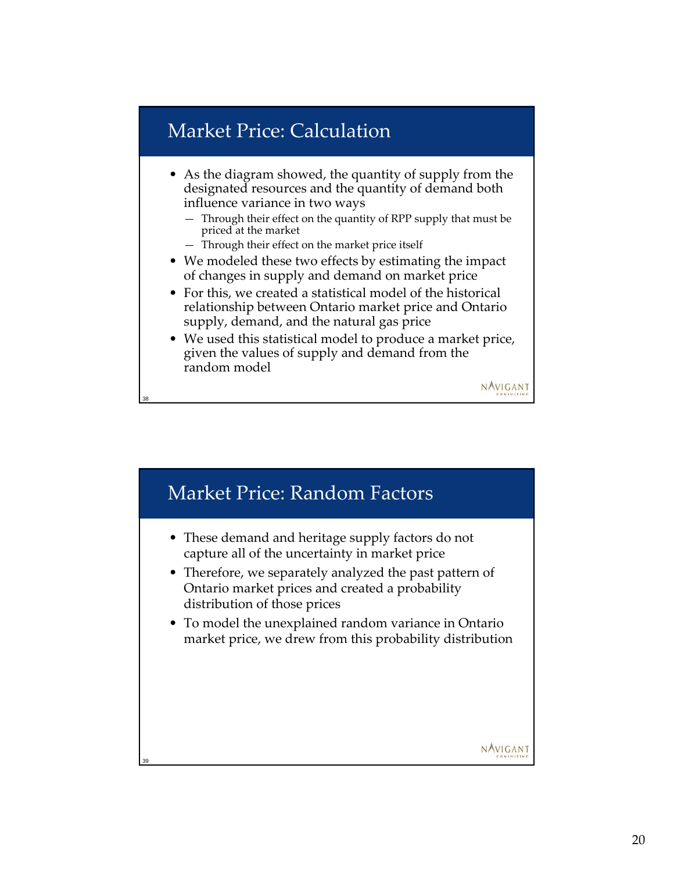### Market Price: Calculation

38

- As the diagram showed, the quantity of supply from the designated resources and the quantity of demand both influence variance in two ways
	- Through their effect on the quantity of RPP supply that must be priced at the market
	- Through their effect on the market price itself
- We modeled these two effects by estimating the impact of changes in supply and demand on market price
- For this, we created a statistical model of the historical relationship between Ontario market price and Ontario supply, demand, and the natural gas price
- We used this statistical model to produce a market price, given the values of supply and demand from the random model